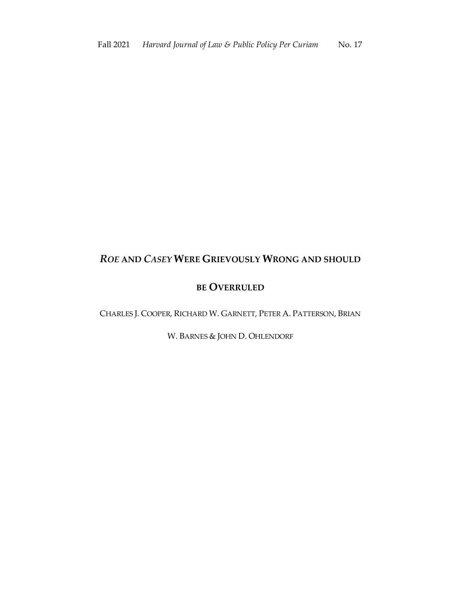# *ROE* **AND** *CASEY* **WERE GRIEVOUSLY WRONG AND SHOULD**

## **BE OVERRULED**

CHARLES J. COOPER, RICHARD W. GARNETT, PETER A. PATTERSON, BRIAN

W. BARNES & JOHN D. OHLENDORF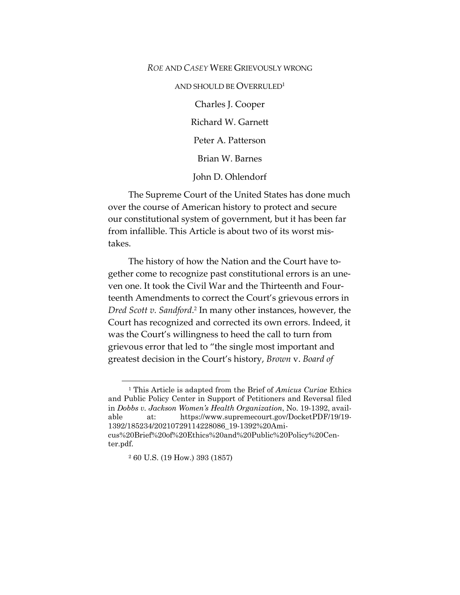#### *ROE* AND *CASEY* WERE GRIEVOUSLY WRONG

AND SHOULD BE OVERRULED<sup>1</sup>

Charles J. Cooper Richard W. Garnett Peter A. Patterson Brian W. Barnes

John D. Ohlendorf

The Supreme Court of the United States has done much over the course of American history to protect and secure our constitutional system of government, but it has been far from infallible. This Article is about two of its worst mistakes.

The history of how the Nation and the Court have together come to recognize past constitutional errors is an uneven one. It took the Civil War and the Thirteenth and Fourteenth Amendments to correct the Court's grievous errors in *Dred Scott v. Sandford*. <sup>2</sup> In many other instances, however, the Court has recognized and corrected its own errors. Indeed, it was the Court's willingness to heed the call to turn from grievous error that led to "the single most important and greatest decision in the Court's history, *Brown* v. *Board of* 

<sup>1</sup> This Article is adapted from the Brief of *Amicus Curiae* Ethics and Public Policy Center in Support of Petitioners and Reversal filed in *Dobbs v. Jackson Women's Health Organization*, No. 19-1392, available at: https://www.supremecourt.gov/DocketPDF/19/19- 1392/185234/20210729114228086\_19-1392%20Amicus%20Brief%20of%20Ethics%20and%20Public%20Policy%20Center.pdf.

<sup>2</sup> 60 U.S. (19 How.) 393 (1857)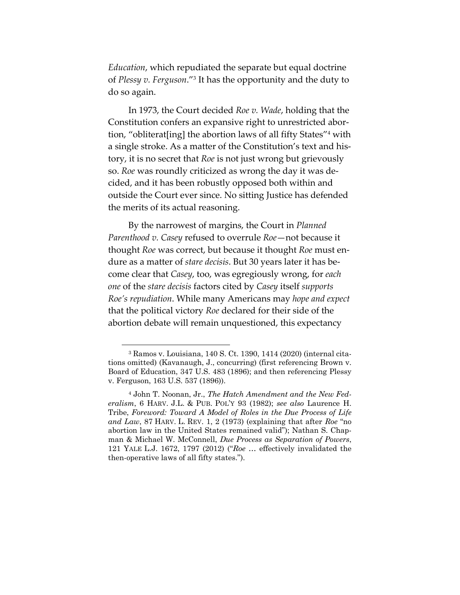*Education*, which repudiated the separate but equal doctrine of *Plessy v. Ferguson*."3 It has the opportunity and the duty to do so again.

In 1973, the Court decided *Roe v. Wade*, holding that the Constitution confers an expansive right to unrestricted abortion, "obliterat[ing] the abortion laws of all fifty States"4 with a single stroke. As a matter of the Constitution's text and history, it is no secret that *Roe* is not just wrong but grievously so. *Roe* was roundly criticized as wrong the day it was decided, and it has been robustly opposed both within and outside the Court ever since. No sitting Justice has defended the merits of its actual reasoning.

By the narrowest of margins, the Court in *Planned Parenthood v. Casey* refused to overrule *Roe*—not because it thought *Roe* was correct, but because it thought *Roe* must endure as a matter of *stare decisis*. But 30 years later it has become clear that *Casey*, too, was egregiously wrong, for *each one* of the *stare decisis* factors cited by *Casey* itself *supports Roe's repudiation*. While many Americans may *hope and expect*  that the political victory *Roe* declared for their side of the abortion debate will remain unquestioned, this expectancy

<sup>3</sup> Ramos v. Louisiana, 140 S. Ct. 1390, 1414 (2020) (internal citations omitted) (Kavanaugh, J., concurring) (first referencing Brown v. Board of Education, 347 U.S. 483 (1896); and then referencing Plessy v. Ferguson, 163 U.S. 537 (1896)).

<sup>4</sup> John T. Noonan, Jr., *The Hatch Amendment and the New Federalism*, 6 HARV. J.L. & PUB. POL'Y 93 (1982); *see also* Laurence H. Tribe, *Foreword: Toward A Model of Roles in the Due Process of Life and Law*, 87 HARV. L. REV. 1, 2 (1973) (explaining that after *Roe* "no abortion law in the United States remained valid"); Nathan S. Chapman & Michael W. McConnell, *Due Process as Separation of Powers*, 121 YALE L.J. 1672, 1797 (2012) ("*Roe* … effectively invalidated the then-operative laws of all fifty states.").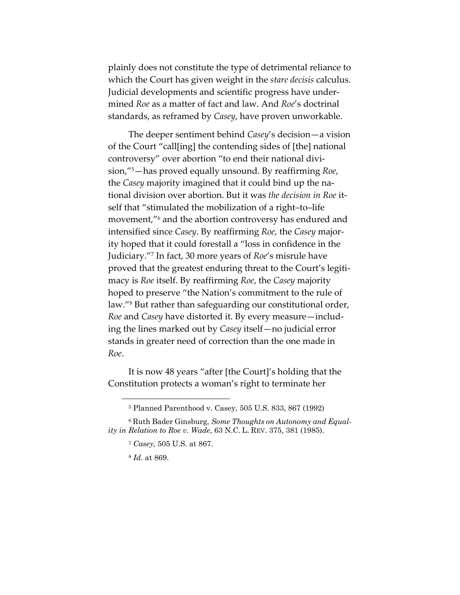plainly does not constitute the type of detrimental reliance to which the Court has given weight in the *stare decisis* calculus. Judicial developments and scientific progress have undermined *Roe* as a matter of fact and law. And *Roe*'s doctrinal standards, as reframed by *Casey*, have proven unworkable.

The deeper sentiment behind *Casey*'s decision—a vision of the Court "call[ing] the contending sides of [the] national controversy" over abortion "to end their national division,"5 —has proved equally unsound. By reaffirming *Roe*, the *Casey* majority imagined that it could bind up the national division over abortion. But it was *the decision in Roe* itself that "stimulated the mobilization of a right–to–life movement,"6 and the abortion controversy has endured and intensified since *Casey*. By reaffirming *Roe*, the *Casey* majority hoped that it could forestall a "loss in confidence in the Judiciary."7 In fact, 30 more years of *Roe*'s misrule have proved that the greatest enduring threat to the Court's legitimacy is *Roe* itself. By reaffirming *Roe*, the *Casey* majority hoped to preserve "the Nation's commitment to the rule of law."<sup>8</sup> But rather than safeguarding our constitutional order, *Roe* and *Casey* have distorted it. By every measure—including the lines marked out by *Casey* itself—no judicial error stands in greater need of correction than the one made in *Roe*.

It is now 48 years "after [the Court]'s holding that the Constitution protects a woman's right to terminate her

<sup>5</sup> Planned Parenthood v. Casey, 505 U.S. 833, 867 (1992)

<sup>6</sup> Ruth Bader Ginsburg, *Some Thoughts on Autonomy and Equality in Relation to Roe v. Wade*, 63 N.C. L. REV. 375, 381 (1985).

<sup>7</sup> *Casey,* 505 U.S. at 867.

<sup>8</sup> *Id.* at 869.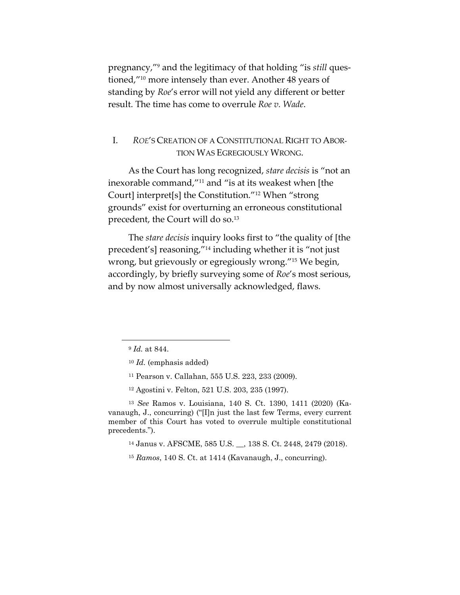pregnancy,"9 and the legitimacy of that holding "is *still* questioned,"10 more intensely than ever. Another 48 years of standing by *Roe*'s error will not yield any different or better result. The time has come to overrule *Roe v. Wade*.

## I. *ROE*'S CREATION OF A CONSTITUTIONAL RIGHT TO ABOR-TION WAS EGREGIOUSLY WRONG.

As the Court has long recognized, *stare decisis* is "not an inexorable command,"11 and "is at its weakest when [the Court] interpret[s] the Constitution."12 When "strong grounds" exist for overturning an erroneous constitutional precedent, the Court will do so.<sup>13</sup>

The *stare decisis* inquiry looks first to "the quality of [the precedent's] reasoning,"14 including whether it is "not just wrong, but grievously or egregiously wrong."15 We begin, accordingly, by briefly surveying some of *Roe*'s most serious, and by now almost universally acknowledged, flaws.

<sup>12</sup> Agostini v. Felton, 521 U.S. 203, 235 (1997).

<sup>13</sup> *See* Ramos v. Louisiana, 140 S. Ct. 1390, 1411 (2020) (Kavanaugh, J., concurring) ("[I]n just the last few Terms, every current member of this Court has voted to overrule multiple constitutional precedents.").

<sup>14</sup> Janus v. AFSCME, 585 U.S. \_\_, 138 S. Ct. 2448, 2479 (2018).

<sup>15</sup> *Ramos*, 140 S. Ct. at 1414 (Kavanaugh, J., concurring).

<sup>9</sup> *Id.* at 844.

<sup>10</sup> *Id.* (emphasis added)

<sup>11</sup> Pearson v. Callahan, 555 U.S. 223, 233 (2009).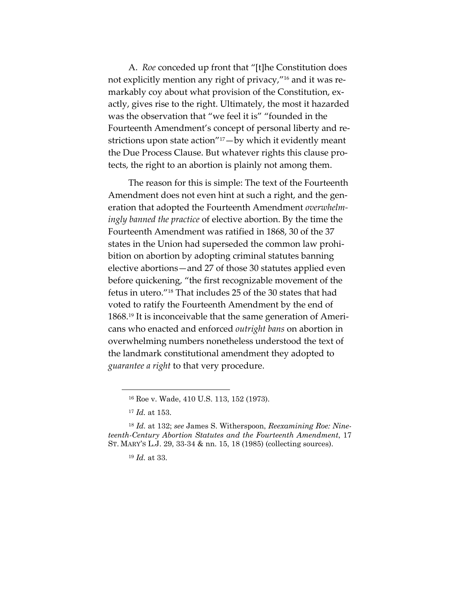A. *Roe* conceded up front that "[t]he Constitution does not explicitly mention any right of privacy,"16 and it was remarkably coy about what provision of the Constitution, exactly, gives rise to the right. Ultimately, the most it hazarded was the observation that "we feel it is" "founded in the Fourteenth Amendment's concept of personal liberty and restrictions upon state action"17—by which it evidently meant the Due Process Clause. But whatever rights this clause protects, the right to an abortion is plainly not among them.

The reason for this is simple: The text of the Fourteenth Amendment does not even hint at such a right, and the generation that adopted the Fourteenth Amendment *overwhelmingly banned the practice* of elective abortion. By the time the Fourteenth Amendment was ratified in 1868, 30 of the 37 states in the Union had superseded the common law prohibition on abortion by adopting criminal statutes banning elective abortions—and 27 of those 30 statutes applied even before quickening, "the first recognizable movement of the fetus in utero."18 That includes 25 of the 30 states that had voted to ratify the Fourteenth Amendment by the end of 1868. <sup>19</sup> It is inconceivable that the same generation of Americans who enacted and enforced *outright bans* on abortion in overwhelming numbers nonetheless understood the text of the landmark constitutional amendment they adopted to *guarantee a right* to that very procedure.

<sup>16</sup> Roe v. Wade, 410 U.S. 113, 152 (1973).

<sup>17</sup> *Id.* at 153.

<sup>18</sup> *Id.* at 132; *see* James S. Witherspoon, *Reexamining Roe: Nineteenth-Century Abortion Statutes and the Fourteenth Amendment*, 17 ST. MARY'S L.J. 29, 33-34 & nn. 15, 18 (1985) (collecting sources).

<sup>19</sup> *Id.* at 33.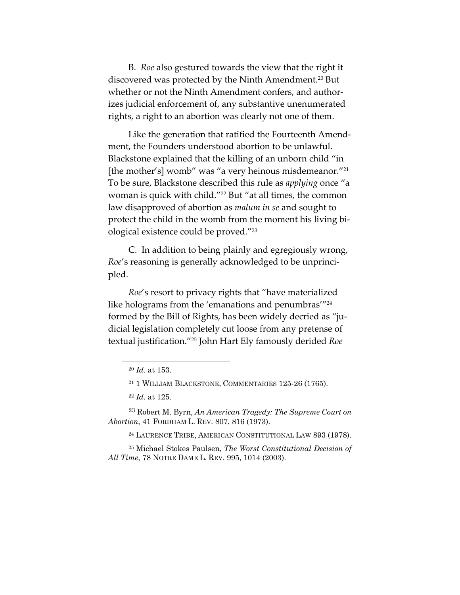B. *Roe* also gestured towards the view that the right it discovered was protected by the Ninth Amendment. <sup>20</sup> But whether or not the Ninth Amendment confers, and authorizes judicial enforcement of, any substantive unenumerated rights, a right to an abortion was clearly not one of them.

Like the generation that ratified the Fourteenth Amendment, the Founders understood abortion to be unlawful. Blackstone explained that the killing of an unborn child "in [the mother's] womb" was "a very heinous misdemeanor."21 To be sure, Blackstone described this rule as *applying* once "a woman is quick with child."22 But "at all times, the common law disapproved of abortion as *malum in se* and sought to protect the child in the womb from the moment his living biological existence could be proved."23

C. In addition to being plainly and egregiously wrong, *Roe*'s reasoning is generally acknowledged to be unprincipled.

*Roe*'s resort to privacy rights that "have materialized like holograms from the 'emanations and penumbras''<sup>24</sup> formed by the Bill of Rights, has been widely decried as "judicial legislation completely cut loose from any pretense of textual justification."25 John Hart Ely famously derided *Roe*

<sup>23</sup> Robert M. Byrn, *An American Tragedy: The Supreme Court on Abortion*, 41 FORDHAM L. REV. 807, 816 (1973).

<sup>24</sup> LAURENCE TRIBE, AMERICAN CONSTITUTIONAL LAW 893 (1978).

<sup>25</sup> Michael Stokes Paulsen, *The Worst Constitutional Decision of All Time*, 78 NOTRE DAME L. REV. 995, 1014 (2003).

<sup>20</sup> *Id.* at 153.

<sup>21</sup> 1 WILLIAM BLACKSTONE, COMMENTARIES 125-26 (1765).

<sup>22</sup> *Id.* at 125.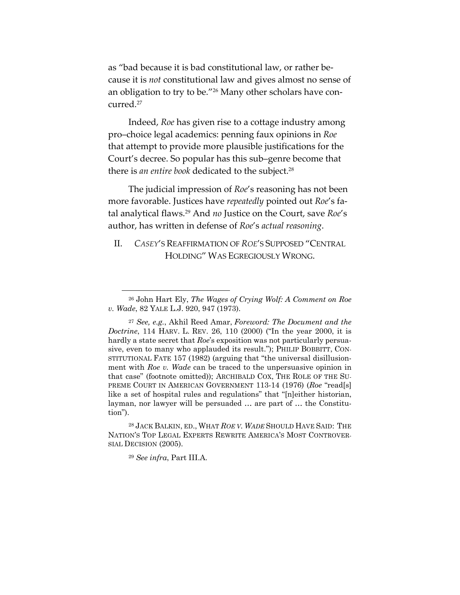as "bad because it is bad constitutional law, or rather because it is *not* constitutional law and gives almost no sense of an obligation to try to be."26 Many other scholars have concurred.27

Indeed, *Roe* has given rise to a cottage industry among pro–choice legal academics: penning faux opinions in *Roe* that attempt to provide more plausible justifications for the Court's decree. So popular has this sub–genre become that there is *an entire book* dedicated to the subject. 28

The judicial impression of *Roe*'s reasoning has not been more favorable. Justices have *repeatedly* pointed out *Roe*'s fatal analytical flaws.29 And *no* Justice on the Court, save *Roe*'s author, has written in defense of *Roe*'s *actual reasoning*.

### II. *CASEY*'S REAFFIRMATION OF *ROE*'S SUPPOSED "CENTRAL HOLDING" WAS EGREGIOUSLY WRONG.

<sup>29</sup> *See infra*, Part III.A.

<sup>26</sup> John Hart Ely, *The Wages of Crying Wolf: A Comment on Roe v. Wade*, 82 YALE L.J. 920, 947 (1973).

<sup>27</sup> *See, e.g.*, Akhil Reed Amar, *Foreword: The Document and the Doctrine*, 114 HARV. L. REV. 26, 110 (2000) ("In the year 2000, it is hardly a state secret that *Roe*'s exposition was not particularly persuasive, even to many who applauded its result."); PHILIP BOBBITT, CON-STITUTIONAL FATE 157 (1982) (arguing that "the universal disillusionment with *Roe v. Wade* can be traced to the unpersuasive opinion in that case" (footnote omitted)); ARCHIBALD COX, THE ROLE OF THE SU-PREME COURT IN AMERICAN GOVERNMENT 113-14 (1976) (*Roe* "read[s] like a set of hospital rules and regulations" that "[n]either historian, layman, nor lawyer will be persuaded … are part of … the Constitution").

<sup>28</sup> JACK BALKIN, ED., WHAT *ROE V. WADE* SHOULD HAVE SAID: THE NATION'S TOP LEGAL EXPERTS REWRITE AMERICA'S MOST CONTROVER-SIAL DECISION (2005).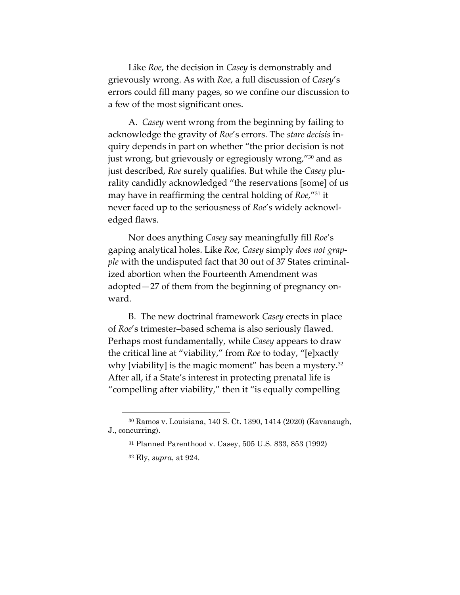Like *Roe*, the decision in *Casey* is demonstrably and grievously wrong. As with *Roe*, a full discussion of *Casey*'s errors could fill many pages, so we confine our discussion to a few of the most significant ones.

A. *Casey* went wrong from the beginning by failing to acknowledge the gravity of *Roe*'s errors. The *stare decisis* inquiry depends in part on whether "the prior decision is not just wrong, but grievously or egregiously wrong,"30 and as just described, *Roe* surely qualifies. But while the *Casey* plurality candidly acknowledged "the reservations [some] of us may have in reaffirming the central holding of *Roe*,"31 it never faced up to the seriousness of *Roe*'s widely acknowledged flaws.

Nor does anything *Casey* say meaningfully fill *Roe*'s gaping analytical holes. Like *Roe*, *Casey* simply *does not grapple* with the undisputed fact that 30 out of 37 States criminalized abortion when the Fourteenth Amendment was adopted—27 of them from the beginning of pregnancy onward.

B. The new doctrinal framework *Casey* erects in place of *Roe*'s trimester–based schema is also seriously flawed. Perhaps most fundamentally, while *Casey* appears to draw the critical line at "viability," from *Roe* to today, "[e]xactly why [viability] is the magic moment" has been a mystery. $32$ After all, if a State's interest in protecting prenatal life is "compelling after viability," then it "is equally compelling

<sup>30</sup> Ramos v. Louisiana, 140 S. Ct. 1390, 1414 (2020) (Kavanaugh, J., concurring).

<sup>31</sup> Planned Parenthood v. Casey, 505 U.S. 833, 853 (1992)

<sup>32</sup> Ely, *supra*, at 924.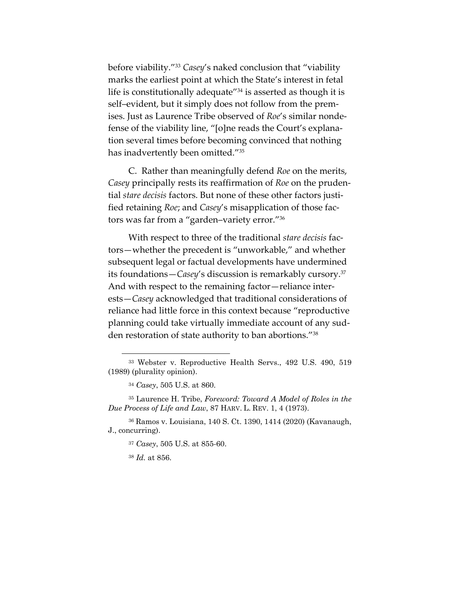before viability."33 *Casey*'s naked conclusion that "viability marks the earliest point at which the State's interest in fetal life is constitutionally adequate<sup>"34</sup> is asserted as though it is self–evident, but it simply does not follow from the premises. Just as Laurence Tribe observed of *Roe*'s similar nondefense of the viability line, "[o]ne reads the Court's explanation several times before becoming convinced that nothing has inadvertently been omitted."35

C. Rather than meaningfully defend *Roe* on the merits, *Casey* principally rests its reaffirmation of *Roe* on the prudential *stare decisis* factors. But none of these other factors justified retaining *Roe*; and *Casey*'s misapplication of those factors was far from a "garden–variety error."36

With respect to three of the traditional *stare decisis* factors—whether the precedent is "unworkable," and whether subsequent legal or factual developments have undermined its foundations—*Casey*'s discussion is remarkably cursory.37 And with respect to the remaining factor—reliance interests—*Casey* acknowledged that traditional considerations of reliance had little force in this context because "reproductive planning could take virtually immediate account of any sudden restoration of state authority to ban abortions."38

<sup>36</sup> Ramos v. Louisiana, 140 S. Ct. 1390, 1414 (2020) (Kavanaugh, J., concurring).

<sup>37</sup> *Casey*, 505 U.S. at 855-60.

<sup>38</sup> *Id.* at 856.

<sup>33</sup> Webster v. Reproductive Health Servs., 492 U.S. 490, 519 (1989) (plurality opinion).

<sup>34</sup> *Casey*, 505 U.S. at 860.

<sup>35</sup> Laurence H. Tribe, *Foreword: Toward A Model of Roles in the Due Process of Life and Law*, 87 HARV. L. REV. 1, 4 (1973).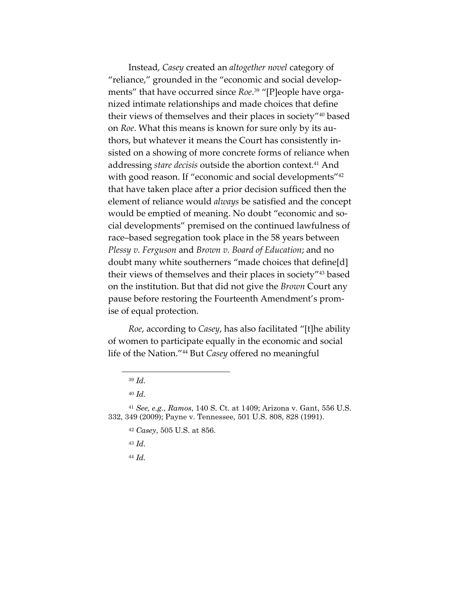Instead, *Casey* created an *altogether novel* category of "reliance," grounded in the "economic and social developments" that have occurred since *Roe*. <sup>39</sup> "[P]eople have organized intimate relationships and made choices that define their views of themselves and their places in society"40 based on *Roe*. What this means is known for sure only by its authors, but whatever it means the Court has consistently insisted on a showing of more concrete forms of reliance when addressing *stare decisis* outside the abortion context.<sup>41</sup> And with good reason. If "economic and social developments"<sup>42</sup> that have taken place after a prior decision sufficed then the element of reliance would *always* be satisfied and the concept would be emptied of meaning. No doubt "economic and social developments" premised on the continued lawfulness of race–based segregation took place in the 58 years between *Plessy v. Ferguson* and *Brown v. Board of Education*; and no doubt many white southerners "made choices that define[d] their views of themselves and their places in society"43 based on the institution. But that did not give the *Brown* Court any pause before restoring the Fourteenth Amendment's promise of equal protection.

*Roe*, according to *Casey*, has also facilitated "[t]he ability of women to participate equally in the economic and social life of the Nation."44 But *Casey* offered no meaningful

- <sup>43</sup> *Id.*
- <sup>44</sup> *Id.*

<sup>39</sup> *Id.*

<sup>40</sup> *Id.*

<sup>41</sup> *See, e.g.*, *Ramos*, 140 S. Ct. at 1409; Arizona v. Gant, 556 U.S. 332, 349 (2009); Payne v. Tennessee, 501 U.S. 808, 828 (1991).

<sup>42</sup> *Casey*, 505 U.S. at 856.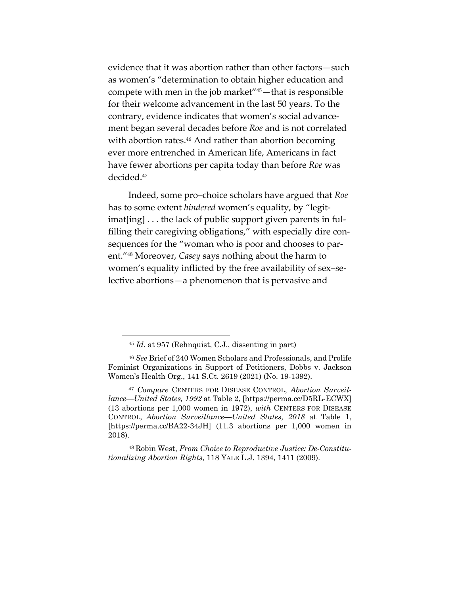evidence that it was abortion rather than other factors—such as women's "determination to obtain higher education and compete with men in the job market"45—that is responsible for their welcome advancement in the last 50 years. To the contrary, evidence indicates that women's social advancement began several decades before *Roe* and is not correlated with abortion rates.<sup>46</sup> And rather than abortion becoming ever more entrenched in American life, Americans in fact have fewer abortions per capita today than before *Roe* was decided.47

Indeed, some pro–choice scholars have argued that *Roe* has to some extent *hindered* women's equality, by "legitimat[ing] . . . the lack of public support given parents in fulfilling their caregiving obligations," with especially dire consequences for the "woman who is poor and chooses to parent."48 Moreover, *Casey* says nothing about the harm to women's equality inflicted by the free availability of sex–selective abortions—a phenomenon that is pervasive and

<sup>48</sup> Robin West, *From Choice to Reproductive Justice: De-Constitutionalizing Abortion Rights*, 118 YALE L.J. 1394, 1411 (2009).

<sup>45</sup> *Id.* at 957 (Rehnquist, C.J., dissenting in part)

<sup>46</sup> *See* Brief of 240 Women Scholars and Professionals, and Prolife Feminist Organizations in Support of Petitioners, Dobbs v. Jackson Women's Health Org., 141 S.Ct. 2619 (2021) (No. 19-1392).

<sup>47</sup> *Compare* CENTERS FOR DISEASE CONTROL, *Abortion Surveillance—United States, 1992* at Table 2, [https://perma.cc/D5RL-ECWX] (13 abortions per 1,000 women in 1972), *with* CENTERS FOR DISEASE CONTROL, *Abortion Surveillance—United States, 2018* at Table 1, [https://perma.cc/BA22-34JH] (11.3 abortions per 1,000 women in 2018).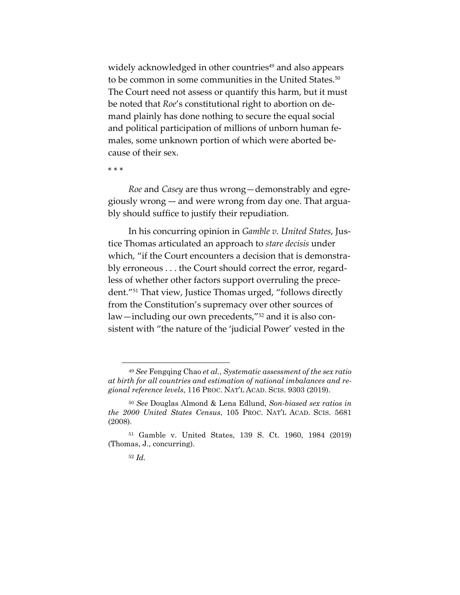widely acknowledged in other countries<sup>49</sup> and also appears to be common in some communities in the United States.<sup>50</sup> The Court need not assess or quantify this harm, but it must be noted that *Roe*'s constitutional right to abortion on demand plainly has done nothing to secure the equal social and political participation of millions of unborn human females, some unknown portion of which were aborted because of their sex.

\* \* \*

*Roe* and *Casey* are thus wrong—demonstrably and egregiously wrong –- and were wrong from day one. That arguably should suffice to justify their repudiation.

In his concurring opinion in *Gamble v. United States*, Justice Thomas articulated an approach to *stare decisis* under which, "if the Court encounters a decision that is demonstrably erroneous . . . the Court should correct the error, regardless of whether other factors support overruling the precedent."51 That view, Justice Thomas urged, "follows directly from the Constitution's supremacy over other sources of law—including our own precedents,"52 and it is also consistent with "the nature of the 'judicial Power' vested in the

<sup>49</sup> *See* Fengqing Chao *et al.*, *Systematic assessment of the sex ratio at birth for all countries and estimation of national imbalances and regional reference levels*, 116 PROC. NAT'L ACAD. SCIS. 9303 (2019).

<sup>50</sup> *See* Douglas Almond & Lena Edlund, *Son-biased sex ratios in the 2000 United States Census*, 105 PROC. NAT'L ACAD. SCIS. 5681 (2008).

<sup>51</sup> Gamble v. United States, 139 S. Ct. 1960, 1984 (2019) (Thomas, J., concurring).

<sup>52</sup> *Id.*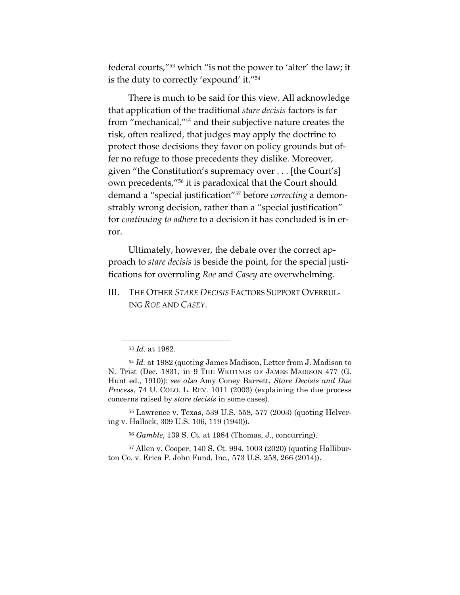federal courts,"53 which "is not the power to 'alter' the law; it is the duty to correctly 'expound' it."54

There is much to be said for this view. All acknowledge that application of the traditional *stare decisis* factors is far from "mechanical,"55 and their subjective nature creates the risk, often realized, that judges may apply the doctrine to protect those decisions they favor on policy grounds but offer no refuge to those precedents they dislike. Moreover, given "the Constitution's supremacy over . . . [the Court's] own precedents,"56 it is paradoxical that the Court should demand a "special justification"57 before *correcting* a demonstrably wrong decision, rather than a "special justification" for *continuing to adhere* to a decision it has concluded is in error.

Ultimately, however, the debate over the correct approach to *stare decisis* is beside the point, for the special justifications for overruling *Roe* and *Casey* are overwhelming.

III. THE OTHER *STARE DECISIS* FACTORS SUPPORT OVERRUL-ING *ROE* AND *CASEY*.

<sup>55</sup> Lawrence v. Texas, 539 U.S. 558, 577 (2003) (quoting Helvering v. Hallock, 309 U.S. 106, 119 (1940)).

<sup>56</sup> *Gamble*, 139 S. Ct. at 1984 (Thomas, J., concurring).

<sup>57</sup> Allen v. Cooper, 140 S. Ct. 994, 1003 (2020) (quoting Halliburton Co. v. Erica P. John Fund, Inc.*,* 573 U.S. 258, 266 (2014)).

<sup>53</sup> *Id.* at 1982.

<sup>54</sup> *Id.* at 1982 (quoting James Madison, Letter from J. Madison to N. Trist (Dec. 1831, in 9 THE WRITINGS OF JAMES MADISON 477 (G. Hunt ed., 1910)); *see also* Amy Coney Barrett, *Stare Decisis and Due Process*, 74 U. COLO. L. REV. 1011 (2003) (explaining the due process concerns raised by *stare decisis* in some cases).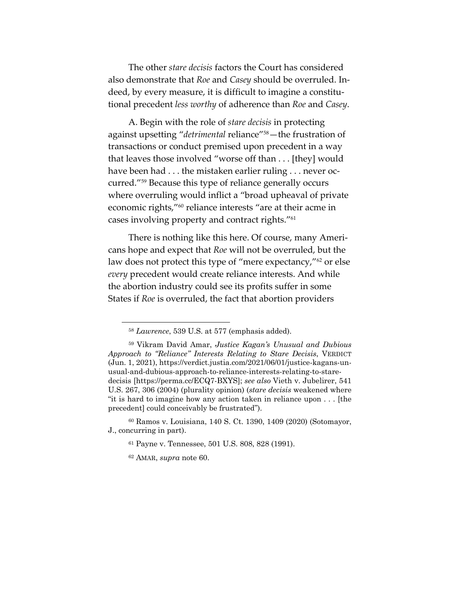The other *stare decisis* factors the Court has considered also demonstrate that *Roe* and *Casey* should be overruled. Indeed, by every measure, it is difficult to imagine a constitutional precedent *less worthy* of adherence than *Roe* and *Casey*.

A. Begin with the role of *stare decisis* in protecting against upsetting "*detrimental* reliance"58—the frustration of transactions or conduct premised upon precedent in a way that leaves those involved "worse off than . . . [they] would have been had . . . the mistaken earlier ruling . . . never occurred."59 Because this type of reliance generally occurs where overruling would inflict a "broad upheaval of private economic rights,"60 reliance interests "are at their acme in cases involving property and contract rights."61

There is nothing like this here. Of course, many Americans hope and expect that *Roe* will not be overruled, but the law does not protect this type of "mere expectancy,"<sup>62</sup> or else *every* precedent would create reliance interests. And while the abortion industry could see its profits suffer in some States if *Roe* is overruled, the fact that abortion providers

<sup>58</sup> *Lawrence*, 539 U.S. at 577 (emphasis added).

<sup>59</sup> Vikram David Amar, *Justice Kagan's Unusual and Dubious Approach to "Reliance" Interests Relating to Stare Decisis*, VERDICT (Jun. 1, 2021), https://verdict.justia.com/2021/06/01/justice-kagans-unusual-and-dubious-approach-to-reliance-interests-relating-to-staredecisis [https://perma.cc/ECQ7-BXYS]; *see also* Vieth v. Jubelirer, 541 U.S. 267, 306 (2004) (plurality opinion) (*stare decisis* weakened where "it is hard to imagine how any action taken in reliance upon . . . [the precedent] could conceivably be frustrated").

<sup>60</sup> Ramos v. Louisiana, 140 S. Ct. 1390, 1409 (2020) (Sotomayor, J., concurring in part).

<sup>61</sup> Payne v. Tennessee, 501 U.S. 808, 828 (1991).

<sup>62</sup> AMAR, *supra* note 60.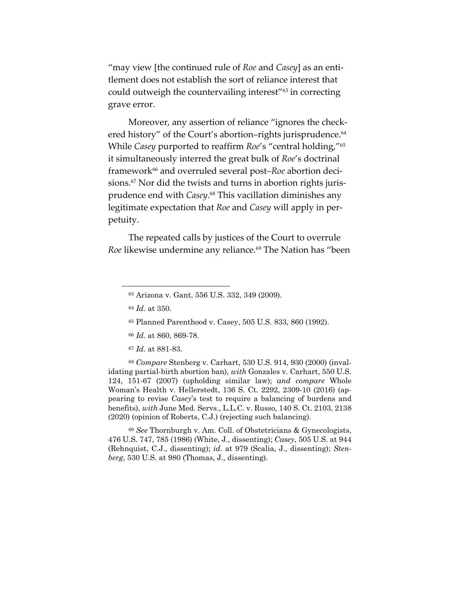"may view [the continued rule of *Roe* and *Casey*] as an entitlement does not establish the sort of reliance interest that could outweigh the countervailing interest"63 in correcting grave error.

Moreover, any assertion of reliance "ignores the checkered history" of the Court's abortion–rights jurisprudence.<sup>64</sup> While *Casey* purported to reaffirm *Roe*'s "central holding,"65 it simultaneously interred the great bulk of *Roe*'s doctrinal framework66 and overruled several post–*Roe* abortion decisions. <sup>67</sup> Nor did the twists and turns in abortion rights jurisprudence end with *Casey*. <sup>68</sup> This vacillation diminishes any legitimate expectation that *Roe* and *Casey* will apply in perpetuity.

The repeated calls by justices of the Court to overrule *Roe* likewise undermine any reliance.<sup>69</sup> The Nation has "been

<sup>68</sup> *Compare* Stenberg v. Carhart, 530 U.S. 914, 930 (2000) (invalidating partial-birth abortion ban), *with* Gonzales v. Carhart, 550 U.S. 124, 151-67 (2007) (upholding similar law); *and compare* Whole Woman's Health v. Hellerstedt, 136 S. Ct. 2292, 2309-10 (2016) (appearing to revise *Casey*'s test to require a balancing of burdens and benefits), *with* June Med. Servs., L.L.C. v. Russo, 140 S. Ct. 2103, 2138 (2020) (opinion of Roberts, C.J.) (rejecting such balancing).

<sup>69</sup> *See* Thornburgh v. Am. Coll. of Obstetricians & Gynecologists, 476 U.S. 747, 785 (1986) (White, J., dissenting); *Casey*, 505 U.S. at 944 (Rehnquist, C.J., dissenting); *id.* at 979 (Scalia, J., dissenting); *Stenberg*, 530 U.S. at 980 (Thomas, J., dissenting).

<sup>63</sup> Arizona v. Gant, 556 U.S. 332, 349 (2009).

<sup>64</sup> *Id.* at 350.

<sup>65</sup> Planned Parenthood v. Casey, 505 U.S. 833, 860 (1992).

<sup>66</sup> *Id.* at 860, 869-78.

<sup>67</sup> *Id.* at 881-83.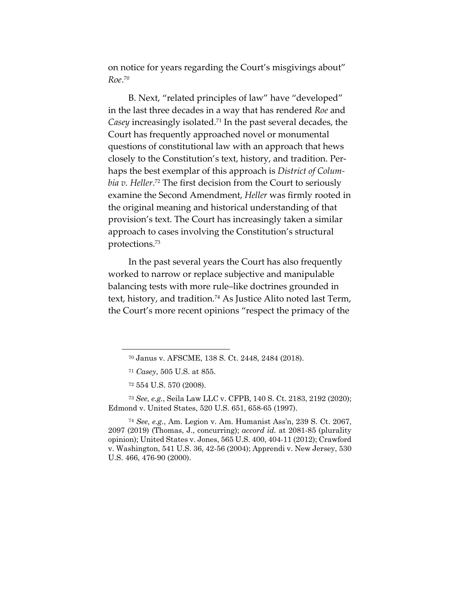on notice for years regarding the Court's misgivings about" *Roe*. 70

B. Next, "related principles of law" have "developed" in the last three decades in a way that has rendered *Roe* and *Casey* increasingly isolated.71 In the past several decades, the Court has frequently approached novel or monumental questions of constitutional law with an approach that hews closely to the Constitution's text, history, and tradition. Perhaps the best exemplar of this approach is *District of Columbia v. Heller*. <sup>72</sup> The first decision from the Court to seriously examine the Second Amendment, *Heller* was firmly rooted in the original meaning and historical understanding of that provision's text. The Court has increasingly taken a similar approach to cases involving the Constitution's structural protections.73

In the past several years the Court has also frequently worked to narrow or replace subjective and manipulable balancing tests with more rule–like doctrines grounded in text, history, and tradition. <sup>74</sup> As Justice Alito noted last Term, the Court's more recent opinions "respect the primacy of the

<sup>73</sup> *See, e.g.*, Seila Law LLC v. CFPB, 140 S. Ct. 2183, 2192 (2020); Edmond v. United States, 520 U.S. 651, 658-65 (1997).

<sup>74</sup> *See, e.g.*, Am. Legion v. Am. Humanist Ass'n, 239 S. Ct. 2067, 2097 (2019) (Thomas, J., concurring); *accord id.* at 2081-85 (plurality opinion); United States v. Jones, 565 U.S. 400, 404-11 (2012); Crawford v. Washington, 541 U.S. 36, 42-56 (2004); Apprendi v. New Jersey, 530 U.S. 466, 476-90 (2000).

<sup>70</sup> Janus v. AFSCME, 138 S. Ct. 2448, 2484 (2018).

<sup>71</sup> *Casey*, 505 U.S. at 855.

<sup>72</sup> 554 U.S. 570 (2008).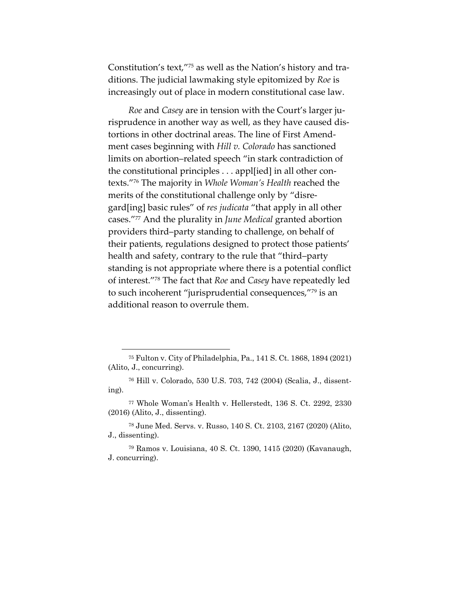Constitution's text,"75 as well as the Nation's history and traditions. The judicial lawmaking style epitomized by *Roe* is increasingly out of place in modern constitutional case law.

*Roe* and *Casey* are in tension with the Court's larger jurisprudence in another way as well, as they have caused distortions in other doctrinal areas. The line of First Amendment cases beginning with *Hill v. Colorado* has sanctioned limits on abortion–related speech "in stark contradiction of the constitutional principles . . . appl[ied] in all other contexts."76 The majority in *Whole Woman's Health* reached the merits of the constitutional challenge only by "disregard[ing] basic rules" of *res judicata* "that apply in all other cases."77 And the plurality in *June Medical* granted abortion providers third–party standing to challenge, on behalf of their patients, regulations designed to protect those patients' health and safety, contrary to the rule that "third–party standing is not appropriate where there is a potential conflict of interest."78 The fact that *Roe* and *Casey* have repeatedly led to such incoherent "jurisprudential consequences,"79 is an additional reason to overrule them.

<sup>75</sup> Fulton v. City of Philadelphia, Pa., 141 S. Ct. 1868, 1894 (2021) (Alito, J., concurring).

<sup>76</sup> Hill v. Colorado, 530 U.S. 703, 742 (2004) (Scalia, J., dissenting).

<sup>77</sup> Whole Woman's Health v. Hellerstedt, 136 S. Ct. 2292, 2330 (2016) (Alito, J., dissenting).

<sup>78</sup> June Med. Servs. v. Russo, 140 S. Ct. 2103, 2167 (2020) (Alito, J., dissenting).

<sup>79</sup> Ramos v. Louisiana, 40 S. Ct. 1390, 1415 (2020) (Kavanaugh, J. concurring).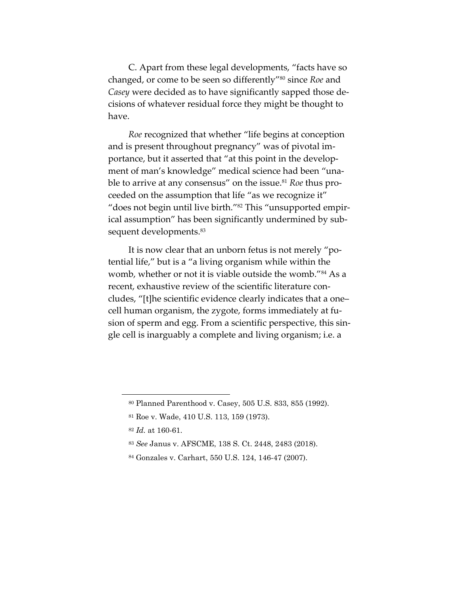C. Apart from these legal developments, "facts have so changed, or come to be seen so differently"80 since *Roe* and *Casey* were decided as to have significantly sapped those decisions of whatever residual force they might be thought to have.

*Roe* recognized that whether "life begins at conception and is present throughout pregnancy" was of pivotal importance, but it asserted that "at this point in the development of man's knowledge" medical science had been "unable to arrive at any consensus" on the issue.<sup>81</sup> *Roe* thus proceeded on the assumption that life "as we recognize it" "does not begin until live birth."82 This "unsupported empirical assumption" has been significantly undermined by subsequent developments. 83

It is now clear that an unborn fetus is not merely "potential life," but is a "a living organism while within the womb, whether or not it is viable outside the womb."<sup>84</sup> As a recent, exhaustive review of the scientific literature concludes, "[t]he scientific evidence clearly indicates that a one– cell human organism, the zygote, forms immediately at fusion of sperm and egg. From a scientific perspective, this single cell is inarguably a complete and living organism; i.e. a

<sup>80</sup> Planned Parenthood v. Casey, 505 U.S. 833, 855 (1992).

<sup>81</sup> Roe v. Wade, 410 U.S. 113, 159 (1973).

<sup>82</sup> *Id.* at 160-61.

<sup>83</sup> *See* Janus v. AFSCME, 138 S. Ct. 2448, 2483 (2018).

<sup>84</sup> Gonzales v. Carhart, 550 U.S. 124, 146-47 (2007).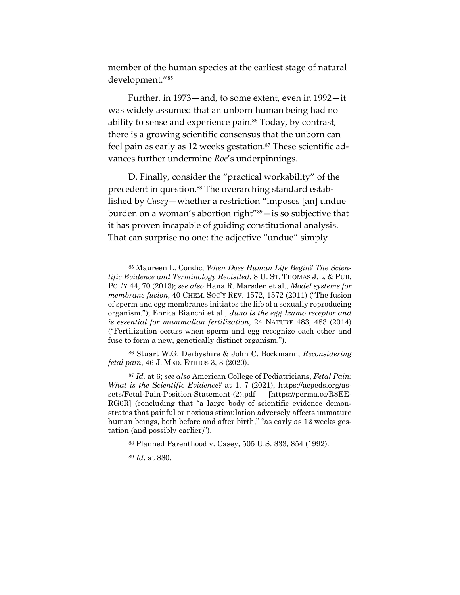member of the human species at the earliest stage of natural development."85

Further, in 1973—and, to some extent, even in 1992—it was widely assumed that an unborn human being had no ability to sense and experience pain.<sup>86</sup> Today, by contrast, there is a growing scientific consensus that the unborn can feel pain as early as 12 weeks gestation.<sup>87</sup> These scientific advances further undermine *Roe*'s underpinnings.

D. Finally, consider the "practical workability" of the precedent in question.<sup>88</sup> The overarching standard established by *Casey*—whether a restriction "imposes [an] undue burden on a woman's abortion right"<sup>89</sup>-is so subjective that it has proven incapable of guiding constitutional analysis. That can surprise no one: the adjective "undue" simply

<sup>86</sup> Stuart W.G. Derbyshire & John C. Bockmann, *Reconsidering fetal pain*, 46 J. MED. ETHICS 3, 3 (2020).

<sup>85</sup> Maureen L. Condic, *When Does Human Life Begin? The Scientific Evidence and Terminology Revisited*, 8 U. ST. THOMAS J.L. & PUB. POL'Y 44, 70 (2013); *see also* Hana R. Marsden et al., *Model systems for membrane fusion*, 40 CHEM. SOC'Y REV. 1572, 1572 (2011) ("The fusion of sperm and egg membranes initiates the life of a sexually reproducing organism."); Enrica Bianchi et al., *Juno is the egg Izumo receptor and is essential for mammalian fertilization*, 24 NATURE 483, 483 (2014) ("Fertilization occurs when sperm and egg recognize each other and fuse to form a new, genetically distinct organism.").

<sup>87</sup> *Id.* at 6; *see also* American College of Pediatricians, *Fetal Pain: What is the Scientific Evidence?* at 1, 7 (2021), https://acpeds.org/assets/Fetal-Pain-Position-Statement-(2).pdf [https://perma.cc/R8EE-RG6R] (concluding that "a large body of scientific evidence demonstrates that painful or noxious stimulation adversely affects immature human beings, both before and after birth," "as early as 12 weeks gestation (and possibly earlier)").

<sup>88</sup> Planned Parenthood v. Casey, 505 U.S. 833, 854 (1992).

<sup>89</sup> *Id.* at 880.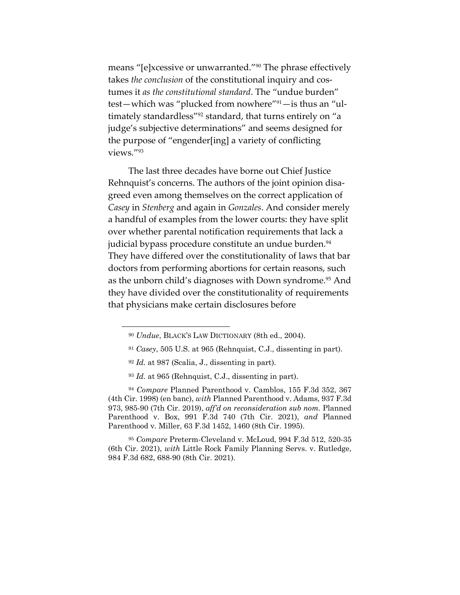means "[e]xcessive or unwarranted."90 The phrase effectively takes *the conclusion* of the constitutional inquiry and costumes it *as the constitutional standard*. The "undue burden" test—which was "plucked from nowhere"91—is thus an "ultimately standardless"<sup>92</sup> standard, that turns entirely on "a judge's subjective determinations" and seems designed for the purpose of "engender[ing] a variety of conflicting views."93

The last three decades have borne out Chief Justice Rehnquist's concerns. The authors of the joint opinion disagreed even among themselves on the correct application of *Casey* in *Stenberg* and again in *Gonzales*. And consider merely a handful of examples from the lower courts: they have split over whether parental notification requirements that lack a judicial bypass procedure constitute an undue burden.<sup>94</sup> They have differed over the constitutionality of laws that bar doctors from performing abortions for certain reasons, such as the unborn child's diagnoses with Down syndrome.<sup>95</sup> And they have divided over the constitutionality of requirements that physicians make certain disclosures before

<sup>95</sup> *Compare* Preterm-Cleveland v. McLoud, 994 F.3d 512, 520-35 (6th Cir. 2021), *with* Little Rock Family Planning Servs. v. Rutledge, 984 F.3d 682, 688-90 (8th Cir. 2021).

<sup>90</sup> *Undue*, BLACK'S LAW DICTIONARY (8th ed., 2004).

<sup>91</sup> *Casey*, 505 U.S. at 965 (Rehnquist, C.J., dissenting in part).

<sup>92</sup> *Id.* at 987 (Scalia, J., dissenting in part).

<sup>93</sup> *Id.* at 965 (Rehnquist, C.J., dissenting in part).

<sup>94</sup> *Compare* Planned Parenthood v. Camblos, 155 F.3d 352, 367 (4th Cir. 1998) (en banc), *with* Planned Parenthood v. Adams, 937 F.3d 973, 985-90 (7th Cir. 2019), *aff'd on reconsideration sub nom.* Planned Parenthood v. Box, 991 F.3d 740 (7th Cir. 2021), *and* Planned Parenthood v. Miller, 63 F.3d 1452, 1460 (8th Cir. 1995).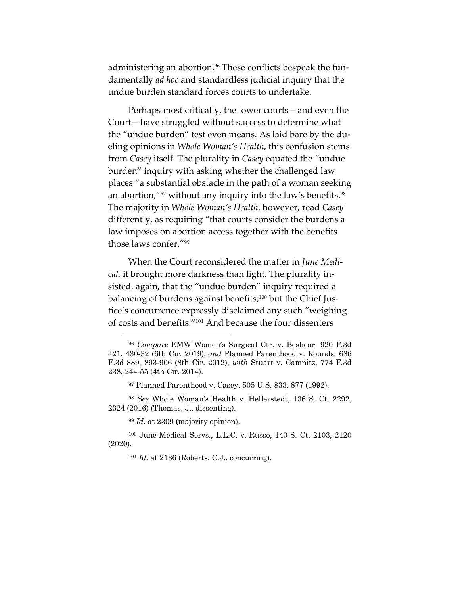administering an abortion.<sup>96</sup> These conflicts bespeak the fundamentally *ad hoc* and standardless judicial inquiry that the undue burden standard forces courts to undertake.

Perhaps most critically, the lower courts—and even the Court—have struggled without success to determine what the "undue burden" test even means. As laid bare by the dueling opinions in *Whole Woman's Health*, this confusion stems from *Casey* itself. The plurality in *Casey* equated the "undue burden" inquiry with asking whether the challenged law places "a substantial obstacle in the path of a woman seeking an abortion,"<sup>97</sup> without any inquiry into the law's benefits.<sup>98</sup> The majority in *Whole Woman's Health*, however, read *Casey* differently, as requiring "that courts consider the burdens a law imposes on abortion access together with the benefits those laws confer."99

When the Court reconsidered the matter in *June Medical*, it brought more darkness than light. The plurality insisted, again, that the "undue burden" inquiry required a balancing of burdens against benefits,<sup>100</sup> but the Chief Justice's concurrence expressly disclaimed any such "weighing of costs and benefits."101 And because the four dissenters

<sup>99</sup> *Id.* at 2309 (majority opinion).

<sup>96</sup> *Compare* EMW Women's Surgical Ctr. v. Beshear, 920 F.3d 421, 430-32 (6th Cir. 2019), *and* Planned Parenthood v. Rounds, 686 F.3d 889, 893-906 (8th Cir. 2012), *with* Stuart v. Camnitz, 774 F.3d 238, 244-55 (4th Cir. 2014).

<sup>97</sup> Planned Parenthood v. Casey, 505 U.S. 833, 877 (1992).

<sup>98</sup> *See* Whole Woman's Health v. Hellerstedt, 136 S. Ct. 2292, 2324 (2016) (Thomas, J., dissenting).

<sup>100</sup> June Medical Servs., L.L.C. v. Russo, 140 S. Ct. 2103, 2120 (2020).

<sup>101</sup> *Id.* at 2136 (Roberts, C.J., concurring).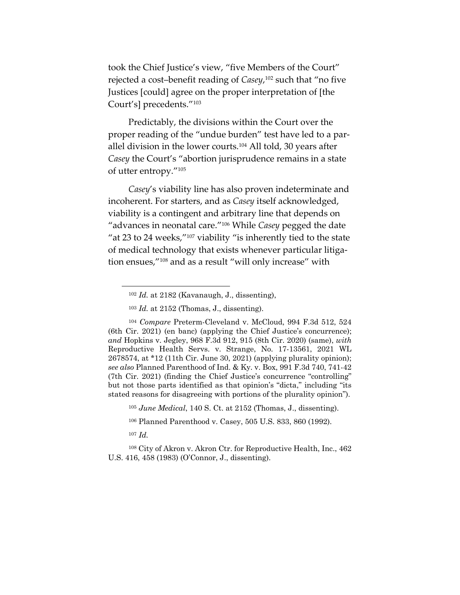took the Chief Justice's view, "five Members of the Court" rejected a cost–benefit reading of *Casey*, <sup>102</sup> such that "no five Justices [could] agree on the proper interpretation of [the Court's] precedents."103

Predictably, the divisions within the Court over the proper reading of the "undue burden" test have led to a parallel division in the lower courts.<sup>104</sup> All told, 30 years after *Casey* the Court's "abortion jurisprudence remains in a state of utter entropy."105

*Casey*'s viability line has also proven indeterminate and incoherent. For starters, and as *Casey* itself acknowledged, viability is a contingent and arbitrary line that depends on "advances in neonatal care."106 While *Casey* pegged the date "at 23 to 24 weeks,"107 viability "is inherently tied to the state of medical technology that exists whenever particular litigation ensues,"108 and as a result "will only increase" with

<sup>105</sup> *June Medical*, 140 S. Ct. at 2152 (Thomas, J., dissenting).

<sup>106</sup> Planned Parenthood v. Casey, 505 U.S. 833, 860 (1992).

<sup>107</sup> *Id.*

<sup>108</sup> City of Akron v. Akron Ctr. for Reproductive Health, Inc., 462 U.S. 416, 458 (1983) (O'Connor, J., dissenting).

<sup>102</sup> *Id.* at 2182 (Kavanaugh, J., dissenting),

<sup>103</sup> *Id.* at 2152 (Thomas, J., dissenting).

<sup>104</sup> *Compare* Preterm-Cleveland v. McCloud, 994 F.3d 512, 524 (6th Cir. 2021) (en banc) (applying the Chief Justice's concurrence); *and* Hopkins v. Jegley, 968 F.3d 912, 915 (8th Cir. 2020) (same), *with* Reproductive Health Servs. v. Strange, No. 17-13561, 2021 WL 2678574, at \*12 (11th Cir. June 30, 2021) (applying plurality opinion); *see also* Planned Parenthood of Ind. & Ky. v. Box, 991 F.3d 740, 741-42 (7th Cir. 2021) (finding the Chief Justice's concurrence "controlling" but not those parts identified as that opinion's "dicta," including "its stated reasons for disagreeing with portions of the plurality opinion").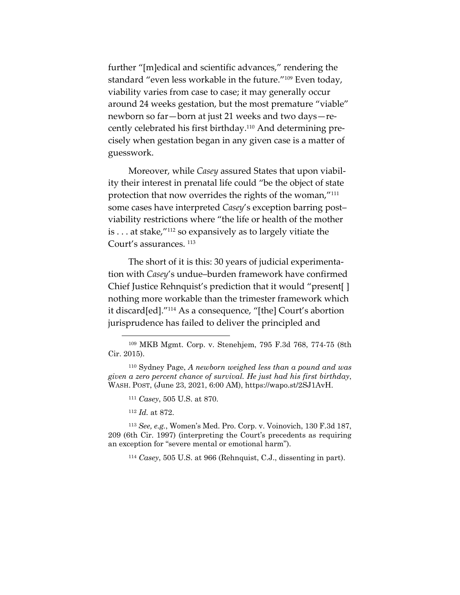further "[m]edical and scientific advances," rendering the standard "even less workable in the future."109 Even today, viability varies from case to case; it may generally occur around 24 weeks gestation, but the most premature "viable" newborn so far—born at just 21 weeks and two days—recently celebrated his first birthday.110 And determining precisely when gestation began in any given case is a matter of guesswork.

Moreover, while *Casey* assured States that upon viability their interest in prenatal life could "be the object of state protection that now overrides the rights of the woman,"111 some cases have interpreted *Casey*'s exception barring post– viability restrictions where "the life or health of the mother is . . . at stake,"112 so expansively as to largely vitiate the Court's assurances.  $^{113}$ 

The short of it is this: 30 years of judicial experimentation with *Casey*'s undue–burden framework have confirmed Chief Justice Rehnquist's prediction that it would "present[ ] nothing more workable than the trimester framework which it discard[ed]."114 As a consequence, "[the] Court's abortion jurisprudence has failed to deliver the principled and

<sup>112</sup> *Id.* at 872.

<sup>113</sup> *See, e.g.*, Women's Med. Pro. Corp. v. Voinovich, 130 F.3d 187, 209 (6th Cir. 1997) (interpreting the Court's precedents as requiring an exception for "severe mental or emotional harm").

<sup>114</sup> *Casey*, 505 U.S. at 966 (Rehnquist, C.J., dissenting in part).

<sup>109</sup> MKB Mgmt. Corp. v. Stenehjem, 795 F.3d 768, 774-75 (8th Cir. 2015).

<sup>110</sup> Sydney Page, *A newborn weighed less than a pound and was given a zero percent chance of survival. He just had his first birthday*, WASH. POST, (June 23, 2021, 6:00 AM), https://wapo.st/2SJ1AvH.

<sup>111</sup> *Casey*, 505 U.S. at 870.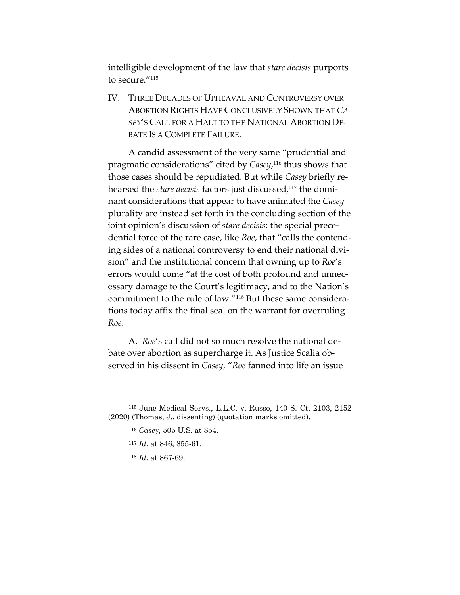intelligible development of the law that *stare decisis* purports to secure."<sup>115</sup>

IV. THREE DECADES OF UPHEAVAL AND CONTROVERSY OVER ABORTION RIGHTS HAVE CONCLUSIVELY SHOWN THAT *CA-SEY*'S CALL FOR A HALT TO THE NATIONAL ABORTION DE-BATE IS A COMPLETE FAILURE.

A candid assessment of the very same "prudential and pragmatic considerations" cited by *Casey*, <sup>116</sup> thus shows that those cases should be repudiated. But while *Casey* briefly rehearsed the *stare decisis* factors just discussed,<sup>117</sup> the dominant considerations that appear to have animated the *Casey* plurality are instead set forth in the concluding section of the joint opinion's discussion of *stare decisis*: the special precedential force of the rare case, like *Roe*, that "calls the contending sides of a national controversy to end their national division" and the institutional concern that owning up to *Roe*'s errors would come "at the cost of both profound and unnecessary damage to the Court's legitimacy, and to the Nation's commitment to the rule of law."118 But these same considerations today affix the final seal on the warrant for overruling *Roe*.

A. *Roe*'s call did not so much resolve the national debate over abortion as supercharge it. As Justice Scalia observed in his dissent in *Casey*, "*Roe* fanned into life an issue

- <sup>117</sup> *Id.* at 846, 855-61.
- <sup>118</sup> *Id.* at 867-69.

<sup>115</sup> June Medical Servs., L.L.C. v. Russo, 140 S. Ct. 2103, 2152 (2020) (Thomas, J., dissenting) (quotation marks omitted).

<sup>116</sup> *Casey,* 505 U.S. at 854.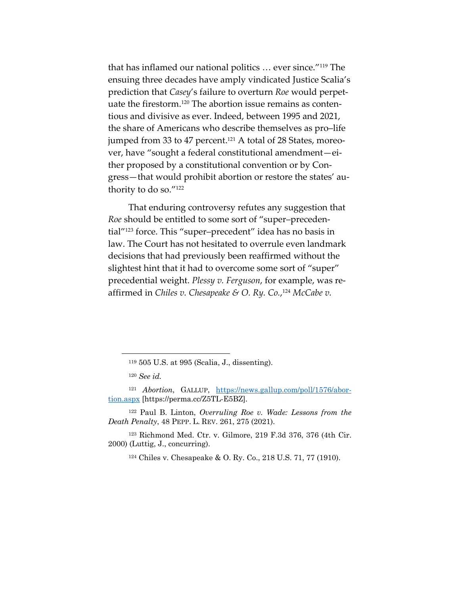that has inflamed our national politics … ever since."119 The ensuing three decades have amply vindicated Justice Scalia's prediction that *Casey*'s failure to overturn *Roe* would perpetuate the firestorm.120 The abortion issue remains as contentious and divisive as ever. Indeed, between 1995 and 2021, the share of Americans who describe themselves as pro–life jumped from 33 to 47 percent.<sup>121</sup> A total of 28 States, moreover, have "sought a federal constitutional amendment—either proposed by a constitutional convention or by Congress—that would prohibit abortion or restore the states' authority to do so."122

That enduring controversy refutes any suggestion that *Roe* should be entitled to some sort of "super–precedential"123 force. This "super–precedent" idea has no basis in law. The Court has not hesitated to overrule even landmark decisions that had previously been reaffirmed without the slightest hint that it had to overcome some sort of "super" precedential weight. *Plessy v. Ferguson*, for example, was reaffirmed in *Chiles v. Chesapeake & O. Ry. Co.*, <sup>124</sup> *McCabe v.* 

<sup>122</sup> Paul B. Linton, *Overruling Roe v. Wade: Lessons from the Death Penalty*, 48 PEPP. L. REV. 261, 275 (2021).

<sup>123</sup> Richmond Med. Ctr. v. Gilmore, 219 F.3d 376, 376 (4th Cir. 2000) (Luttig, J., concurring).

<sup>124</sup> Chiles v. Chesapeake & O. Ry. Co., 218 U.S. 71, 77 (1910).

<sup>119</sup> 505 U.S. at 995 (Scalia, J., dissenting).

<sup>120</sup> *See id.*

<sup>121</sup> *Abortion*, GALLUP, https://news.gallup.com/poll/1576/abortion.aspx [https://perma.cc/Z5TL-E5BZ].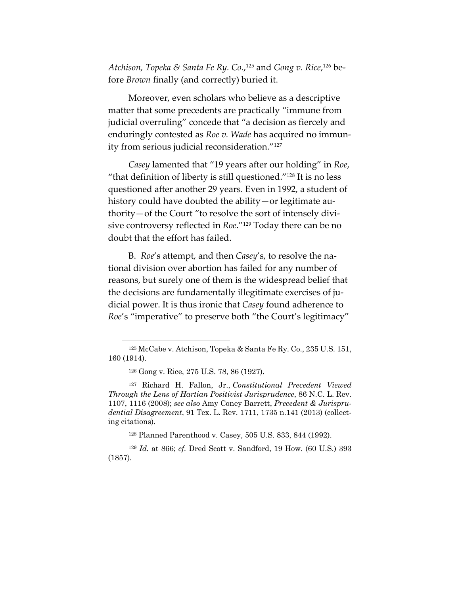*Atchison, Topeka & Santa Fe Ry. Co.*, <sup>125</sup> and *Gong v. Rice*, <sup>126</sup> before *Brown* finally (and correctly) buried it.

Moreover, even scholars who believe as a descriptive matter that some precedents are practically "immune from judicial overruling" concede that "a decision as fiercely and enduringly contested as *Roe v. Wade* has acquired no immunity from serious judicial reconsideration."127

*Casey* lamented that "19 years after our holding" in *Roe*, "that definition of liberty is still questioned." $128$  It is no less questioned after another 29 years. Even in 1992, a student of history could have doubted the ability—or legitimate authority—of the Court "to resolve the sort of intensely divisive controversy reflected in *Roe*."129 Today there can be no doubt that the effort has failed.

B. *Roe*'s attempt, and then *Casey*'s, to resolve the national division over abortion has failed for any number of reasons, but surely one of them is the widespread belief that the decisions are fundamentally illegitimate exercises of judicial power. It is thus ironic that *Casey* found adherence to *Roe*'s "imperative" to preserve both "the Court's legitimacy"

<sup>128</sup> Planned Parenthood v. Casey, 505 U.S. 833, 844 (1992).

<sup>125</sup> McCabe v. Atchison, Topeka & Santa Fe Ry. Co., 235 U.S. 151, 160 (1914).

<sup>126</sup> Gong v. Rice, 275 U.S. 78, 86 (1927).

<sup>127</sup> Richard H. Fallon, Jr., *Constitutional Precedent Viewed Through the Lens of Hartian Positivist Jurisprudence*, 86 N.C. L. Rev. 1107, 1116 (2008); *see also* Amy Coney Barrett, *Precedent & Jurisprudential Disagreement*, 91 Tex. L. Rev. 1711, 1735 n.141 (2013) (collecting citations).

<sup>129</sup> *Id.* at 866; *cf.* Dred Scott v. Sandford, 19 How. (60 U.S.) 393 (1857).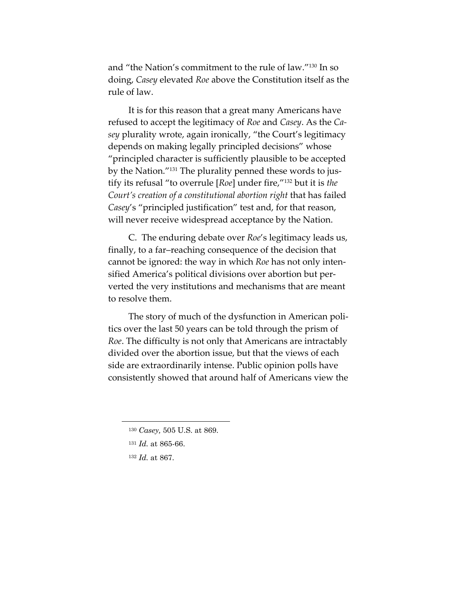and "the Nation's commitment to the rule of law."130 In so doing, *Casey* elevated *Roe* above the Constitution itself as the rule of law.

It is for this reason that a great many Americans have refused to accept the legitimacy of *Roe* and *Casey*. As the *Casey* plurality wrote, again ironically, "the Court's legitimacy depends on making legally principled decisions" whose "principled character is sufficiently plausible to be accepted by the Nation."131 The plurality penned these words to justify its refusal "to overrule [*Roe*] under fire,"132 but it is *the Court's creation of a constitutional abortion right* that has failed *Casey*'s "principled justification" test and, for that reason, will never receive widespread acceptance by the Nation.

C. The enduring debate over *Roe*'s legitimacy leads us, finally, to a far–reaching consequence of the decision that cannot be ignored: the way in which *Roe* has not only intensified America's political divisions over abortion but perverted the very institutions and mechanisms that are meant to resolve them.

The story of much of the dysfunction in American politics over the last 50 years can be told through the prism of *Roe*. The difficulty is not only that Americans are intractably divided over the abortion issue, but that the views of each side are extraordinarily intense. Public opinion polls have consistently showed that around half of Americans view the

<sup>130</sup> *Casey,* 505 U.S. at 869.

<sup>131</sup> *Id.* at 865-66.

<sup>132</sup> *Id.* at 867.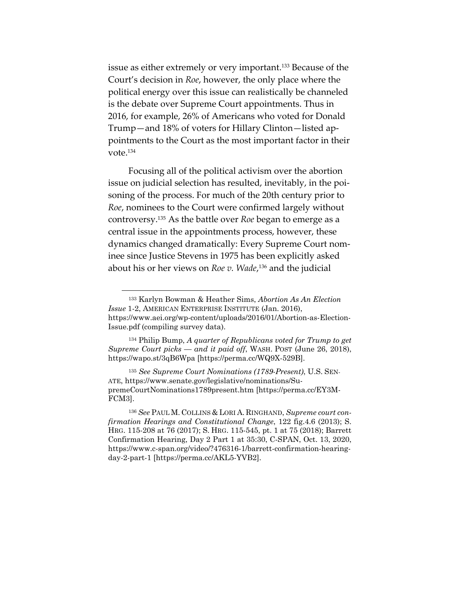issue as either extremely or very important.133 Because of the Court's decision in *Roe*, however, the only place where the political energy over this issue can realistically be channeled is the debate over Supreme Court appointments. Thus in 2016, for example, 26% of Americans who voted for Donald Trump—and 18% of voters for Hillary Clinton—listed appointments to the Court as the most important factor in their vote.134

Focusing all of the political activism over the abortion issue on judicial selection has resulted, inevitably, in the poisoning of the process. For much of the 20th century prior to *Roe*, nominees to the Court were confirmed largely without controversy.135 As the battle over *Roe* began to emerge as a central issue in the appointments process, however, these dynamics changed dramatically: Every Supreme Court nominee since Justice Stevens in 1975 has been explicitly asked about his or her views on *Roe v. Wade*, <sup>136</sup> and the judicial

<sup>133</sup> Karlyn Bowman & Heather Sims, *Abortion As An Election Issue* 1-2, AMERICAN ENTERPRISE INSTITUTE (Jan. 2016), https://www.aei.org/wp-content/uploads/2016/01/Abortion-as-Election-Issue.pdf (compiling survey data).

<sup>134</sup> Philip Bump, *A quarter of Republicans voted for Trump to get Supreme Court picks — and it paid off*, WASH. POST (June 26, 2018), https://wapo.st/3qB6Wpa [https://perma.cc/WQ9X-529B].

<sup>135</sup> *See Supreme Court Nominations (1789-Present)*, U.S. SEN-ATE, https://www.senate.gov/legislative/nominations/SupremeCourtNominations1789present.htm [https://perma.cc/EY3M-FCM3].

<sup>136</sup> *See* PAUL M. COLLINS & LORI A. RINGHAND, *Supreme court confirmation Hearings and Constitutional Change*, 122 fig.4.6 (2013); S. HRG. 115-208 at 76 (2017); S. HRG. 115-545, pt. 1 at 75 (2018); Barrett Confirmation Hearing, Day 2 Part 1 at 35:30, C-SPAN, Oct. 13, 2020, https://www.c-span.org/video/?476316-1/barrett-confirmation-hearingday-2-part-1 [https://perma.cc/AKL5-YVB2].